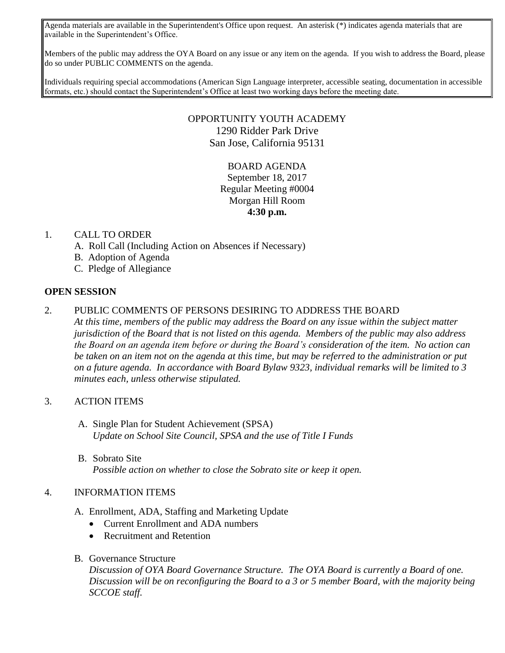Agenda materials are available in the Superintendent's Office upon request. An asterisk (\*) indicates agenda materials that are available in the Superintendent's Office.

Members of the public may address the OYA Board on any issue or any item on the agenda. If you wish to address the Board, please do so under PUBLIC COMMENTS on the agenda.

Individuals requiring special accommodations (American Sign Language interpreter, accessible seating, documentation in accessible formats, etc.) should contact the Superintendent's Office at least two working days before the meeting date.

## OPPORTUNITY YOUTH ACADEMY 1290 Ridder Park Drive San Jose, California 95131

# BOARD AGENDA September 18, 2017 Regular Meeting #0004 Morgan Hill Room **4:30 p.m.**

#### 1. CALL TO ORDER

- A. Roll Call (Including Action on Absences if Necessary)
- B. Adoption of Agenda
- C. Pledge of Allegiance

#### **OPEN SESSION**

## 2. PUBLIC COMMENTS OF PERSONS DESIRING TO ADDRESS THE BOARD

*At this time, members of the public may address the Board on any issue within the subject matter jurisdiction of the Board that is not listed on this agenda. Members of the public may also address the Board on an agenda item before or during the Board's consideration of the item. No action can be taken on an item not on the agenda at this time, but may be referred to the administration or put on a future agenda. In accordance with Board Bylaw 9323, individual remarks will be limited to 3 minutes each, unless otherwise stipulated.*

## 3. ACTION ITEMS

- A. Single Plan for Student Achievement (SPSA) *Update on School Site Council, SPSA and the use of Title I Funds*
- B. Sobrato Site *Possible action on whether to close the Sobrato site or keep it open.*

## 4. INFORMATION ITEMS

- A. Enrollment, ADA, Staffing and Marketing Update
	- Current Enrollment and ADA numbers
	- Recruitment and Retention
- B. Governance Structure

*Discussion of OYA Board Governance Structure. The OYA Board is currently a Board of one. Discussion will be on reconfiguring the Board to a 3 or 5 member Board, with the majority being SCCOE staff.*